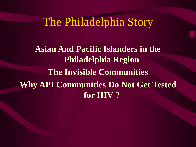# The Philadelphia Story

**Asian And Pacific Islanders in the Philadelphia Region The Invisible Communities Why API Communities Do Not Get Tested for HIV** ?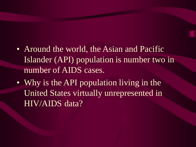• Around the world, the Asian and Pacific Islander (API) population is number two in number of AIDS cases.

• Why is the API population living in the United States virtually unrepresented in HIV/AIDS data?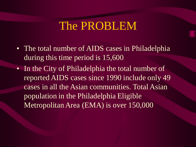# The PROBLEM

- The total number of AIDS cases in Philadelphia during this time period is 15,600
- In the City of Philadelphia the total number of reported AIDS cases since 1990 include only 49 cases in all the Asian communities. Total Asian population in the Philadelphia Eligible Metropolitan Area (EMA) is over 150,000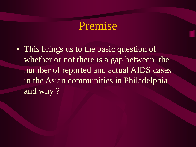## Premise

• This brings us to the basic question of whether or not there is a gap between the number of reported and actual AIDS cases in the Asian communities in Philadelphia and why?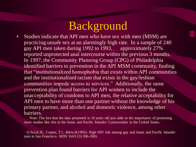# Background

• Studies indicate that API men who have sex with men (MSM) are practicing unsafe sex at an alarmingly high rate. In a sample of 240 gay API men taken during 1992 to 1993,[1] approximately 27% reported unprotected anal intercourse within the previous 3 months.  $\mathbb{R}^2$ In 1997, the Community Planning Group (CPG) of Philadelphia identified barriers to prevention in the API MSM community, finding that "institutionalized homophobia that exists within API communities and the institutionalized racism that exists in the gay/lesbian communities impede access to services." Additionally, the same prevention plan found barriers for API women to include the unacceptability of condoms to API men, the relative acceptability for API men to have more than one partner without the knowledge of his primary partner, and alcohol and domestic violence, among other barriers.

Note: The fact that the data presented is 10 years old just adds to the importance of promoting more studies like this in the Asian and Pacific Islander Communities in the United States.

[2](Choi,K.H., Coates, T.J., &lew,S(1995). High HIV risk among gay and Asian and Pacific Islander men in San Francisco. AIDS Vol.9 (3) 306-308)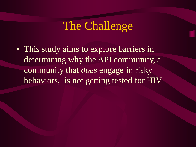# The Challenge

• This study aims to explore barriers in determining why the API community, a community that *does* engage in risky behaviors, is not getting tested for HIV.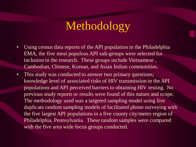# Methodology

- Using census data reports of the API population in the Philadelphia EMA, the five most populous API sub-groups were selected for inclusion in the research. These groups include Vietnamese , Cambodian, Chinese, Korean, and Asian Indian communities.
- This study was conducted to answer two primary questions; knowledge level of associated risks of HIV transmission in the API populations and API perceived barriers to obtaining HIV testing. No previous study reports or results were found of this nature and scope. The methodology used was a targeted sampling model using five duplicate random sampling models of facilitated phone surveying with the five largest API populations in a five county city/metro region of Philadelphia, Pennsylvania. These random samples were compared with the five area wide focus groups conducted.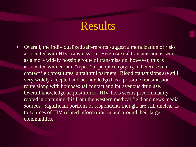## Results

• Overall, the individualized self-reports suggest a moralization of risks associated with HIV transmission. Heterosexual transmission is seen as a more widely possible route of transmission, however, this is associated with certain "types" of people engaging in heterosexual contact i.e.; prostitutes, unfaithful partners. Blood transfusions are still very widely accepted and acknowledged as a possible transmission route along with homosexual contact and intravenous drug use. Overall knowledge acquisition for HIV facts seems predominantly rooted in obtaining this from the western medical field and news media sources. Significant portions of respondents though, are still unclear as to sources of HIV related information in and around their larger communities.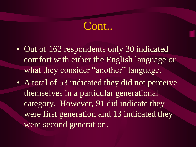## Cont..

- Out of 162 respondents only 30 indicated comfort with either the English language or what they consider "another" language.
- A total of 53 indicated they did not perceive themselves in a particular generational category. However, 91 did indicate they were first generation and 13 indicated they were second generation.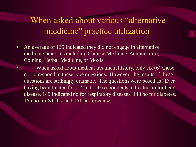#### When asked about various "alternative" medicine" practice utilization

• An average of 135 indicated they did not engage in alternative medicine practices including Chinese Medicine, Acupuncture, Coining, Herbal Medicine, or Moxis.

When asked about medical treatment history, only six (6) chose not to respond to these type questions. However, the results of these questions are strikingly dramatic. The questions were posed as "Ever having been treated for..." and 150 respondents indicated no for heart disease, 149 indicated no for respiratory diseases, 143 no for diabetes, 155 no for STD's, and 151 no for cancer.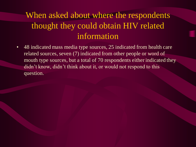### When asked about where the respondents thought they could obtain HIV related information

• 48 indicated mass media type sources, 25 indicated from health care related sources, seven (7) indicated from other people or word of mouth type sources, but a total of 70 respondents either indicated they didn't know, didn't think about it, or would not respond to this question.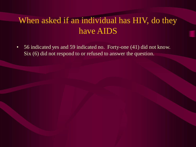### When asked if an individual has HIV, do they have AIDS

• 56 indicated yes and 59 indicated no. Forty-one (41) did not know. Six (6) did not respond to or refused to answer the question.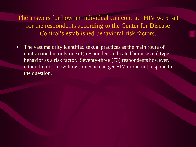The answers for how an individual can contract HIV were set for the respondents according to the Center for Disease Control's established behavioral risk factors.

• The vast majority identified sexual practices as the main route of contraction but only one (1) respondent indicated homosexual type behavior as a risk factor. Seventy-three (73) respondents however, either did not know how someone can get HIV or did not respond to the question.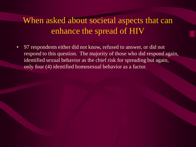#### When asked about societal aspects that can enhance the spread of HIV

• 97 respondents either did not know, refused to answer, or did not respond to this question. The majority of those who did respond again, identified sexual behavior as the chief risk for spreading but again, only four (4) identified homosexual behavior as a factor.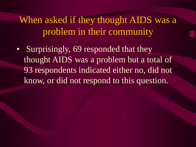When asked if they thought AIDS was a problem in their community

• Surprisingly, 69 responded that they thought AIDS was a problem but a total of 93 respondents indicated either no, did not know, or did not respond to this question.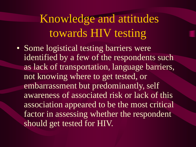# Knowledge and attitudes towards HIV testing

• Some logistical testing barriers were identified by a few of the respondents such as lack of transportation, language barriers, not knowing where to get tested, or embarrassment but predominantly, self awareness of associated risk or lack of this association appeared to be the most critical factor in assessing whether the respondent should get tested for HIV.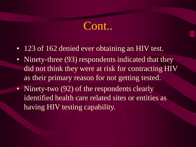# Cont..

- 123 of 162 denied ever obtaining an HIV test.
- Ninety-three (93) respondents indicated that they did not think they were at risk for contracting HIV as their primary reason for not getting tested.
- Ninety-two (92) of the respondents clearly identified health care related sites or entities as having HIV testing capability.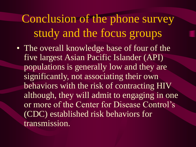Conclusion of the phone survey study and the focus groups

• The overall knowledge base of four of the five largest Asian Pacific Islander (API) populations is generally low and they are significantly, not associating their own behaviors with the risk of contracting HIV although, they will admit to engaging in one or more of the Center for Disease Control's (CDC) established risk behaviors for transmission.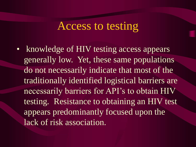## Access to testing

• knowledge of HIV testing access appears generally low. Yet, these same populations do not necessarily indicate that most of the traditionally identified logistical barriers are necessarily barriers for API's to obtain HIV testing. Resistance to obtaining an HIV test appears predominantly focused upon the lack of risk association.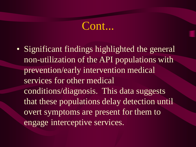## Cont...

• Significant findings highlighted the general non-utilization of the API populations with prevention/early intervention medical services for other medical conditions/diagnosis. This data suggests that these populations delay detection until overt symptoms are present for them to engage interceptive services.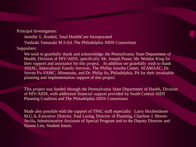Principal Investigators:

Jennifer L. Kunkel, Total HealthCare Incorporated

Yoshiaki Yamasaki M.S.Ed. The Philadelphia AIDS Consortium

Supporters:

We wish to gratefully thank and acknowledge the Pennsylvania State Department of Health, Division of HIV/AIDS, specifically Mr. Joseph Pease; Mr. Weldon King for their support and assistance for this project. In addition we gratefully wish to thank ASIAC, Intercultural Family Services, The Phillip Jaisohn Center, SEAMAAC, Dr. Steven Fu-VAMC, Minnesota, and Dr. Philip Su, Philadelphia, PA for their invaluable planning and implementation support of this project.

This project was funded through the Pennsylvania State Department of Health, Division of HIV/AIDS, with additional financial support provided by South Central AIDS Planning Coalition and The Philadelphia AIDS Consortium.

Made also possible with the support of TPAC staff especially: Larry Hochendoner M.G.A, Executive Director, Paul Luong, Director of Planning, Charlene J. Moore-Arcila, Administrative Assistant of Special Program and to the Deputy Director and Naomi Lim, Student Intern.